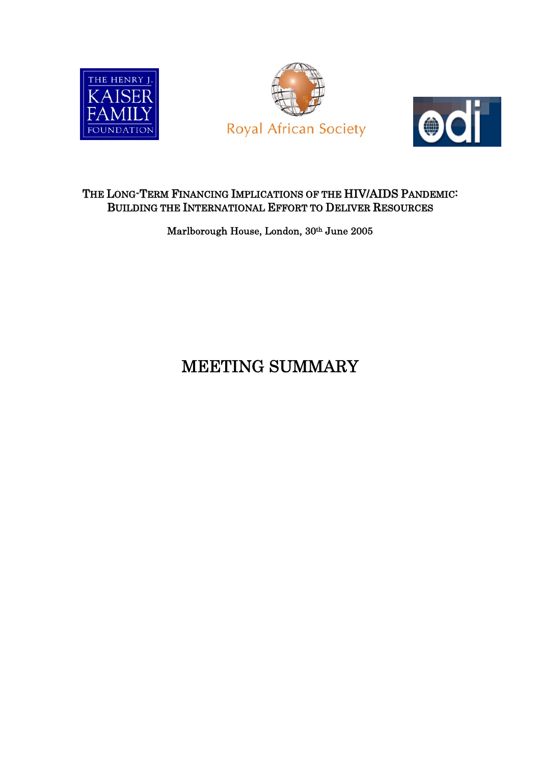





## THE LONG-TERM FINANCING IMPLICATIONS OF THE HIV/AIDS PANDEMIC: BUILDING THE INTERNATIONAL EFFORT TO DELIVER RESOURCES

Marlborough House, London, 30th June 2005

## MEETING SUMMARY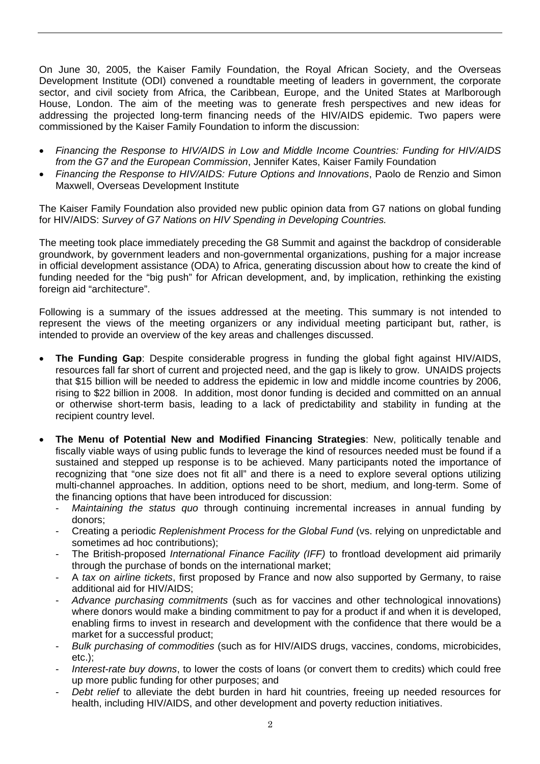On June 30, 2005, the Kaiser Family Foundation, the Royal African Society, and the Overseas Development Institute (ODI) convened a roundtable meeting of leaders in government, the corporate sector, and civil society from Africa, the Caribbean, Europe, and the United States at Marlborough House, London. The aim of the meeting was to generate fresh perspectives and new ideas for addressing the projected long-term financing needs of the HIV/AIDS epidemic. Two papers were commissioned by the Kaiser Family Foundation to inform the discussion:

- *Financing the Response to HIV/AIDS in Low and Middle Income Countries: Funding for HIV/AIDS from the G7 and the European Commission*, Jennifer Kates, Kaiser Family Foundation
- *Financing the Response to HIV/AIDS: Future Options and Innovations*, Paolo de Renzio and Simon Maxwell, Overseas Development Institute

The Kaiser Family Foundation also provided new public opinion data from G7 nations on global funding for HIV/AIDS: *Survey of G7 Nations on HIV Spending in Developing Countries.*

The meeting took place immediately preceding the G8 Summit and against the backdrop of considerable groundwork, by government leaders and non-governmental organizations, pushing for a major increase in official development assistance (ODA) to Africa, generating discussion about how to create the kind of funding needed for the "big push" for African development, and, by implication, rethinking the existing foreign aid "architecture".

Following is a summary of the issues addressed at the meeting. This summary is not intended to represent the views of the meeting organizers or any individual meeting participant but, rather, is intended to provide an overview of the key areas and challenges discussed.

- **The Funding Gap**: Despite considerable progress in funding the global fight against HIV/AIDS, resources fall far short of current and projected need, and the gap is likely to grow. UNAIDS projects that \$15 billion will be needed to address the epidemic in low and middle income countries by 2006, rising to \$22 billion in 2008. In addition, most donor funding is decided and committed on an annual or otherwise short-term basis, leading to a lack of predictability and stability in funding at the recipient country level.
- **The Menu of Potential New and Modified Financing Strategies**: New, politically tenable and fiscally viable ways of using public funds to leverage the kind of resources needed must be found if a sustained and stepped up response is to be achieved. Many participants noted the importance of recognizing that "one size does not fit all" and there is a need to explore several options utilizing multi-channel approaches. In addition, options need to be short, medium, and long-term. Some of the financing options that have been introduced for discussion:
	- *Maintaining the status quo* through continuing incremental increases in annual funding by donors;
	- Creating a periodic *Replenishment Process for the Global Fund* (vs. relying on unpredictable and sometimes ad hoc contributions);
	- The British-proposed *International Finance Facility (IFF)* to frontload development aid primarily through the purchase of bonds on the international market;
	- A *tax on airline tickets*, first proposed by France and now also supported by Germany, to raise additional aid for HIV/AIDS;
	- *Advance purchasing commitments* (such as for vaccines and other technological innovations) where donors would make a binding commitment to pay for a product if and when it is developed, enabling firms to invest in research and development with the confidence that there would be a market for a successful product;
	- *Bulk purchasing of commodities* (such as for HIV/AIDS drugs, vaccines, condoms, microbicides, etc.);
	- Interest-rate buy downs, to lower the costs of loans (or convert them to credits) which could free up more public funding for other purposes; and
	- *Debt relief* to alleviate the debt burden in hard hit countries, freeing up needed resources for health, including HIV/AIDS, and other development and poverty reduction initiatives.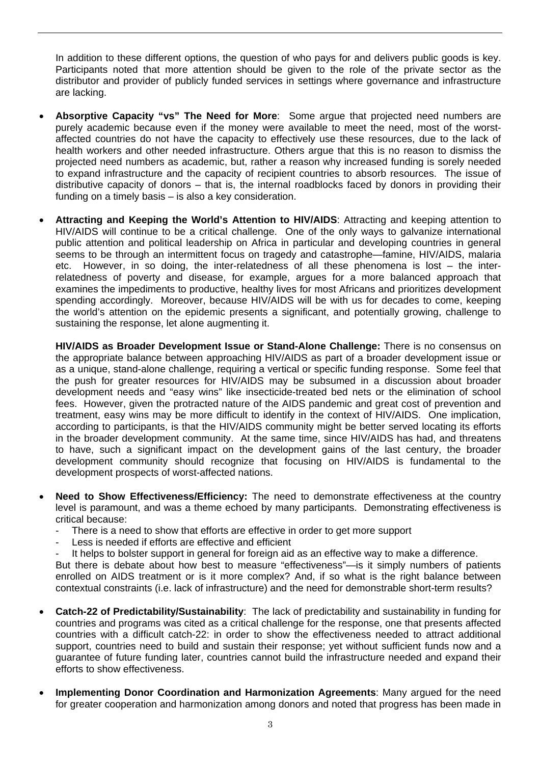In addition to these different options, the question of who pays for and delivers public goods is key. Participants noted that more attention should be given to the role of the private sector as the distributor and provider of publicly funded services in settings where governance and infrastructure are lacking.

- **Absorptive Capacity "vs" The Need for More**: Some argue that projected need numbers are purely academic because even if the money were available to meet the need, most of the worstaffected countries do not have the capacity to effectively use these resources, due to the lack of health workers and other needed infrastructure. Others argue that this is no reason to dismiss the projected need numbers as academic, but, rather a reason why increased funding is sorely needed to expand infrastructure and the capacity of recipient countries to absorb resources. The issue of distributive capacity of donors – that is, the internal roadblocks faced by donors in providing their funding on a timely basis – is also a key consideration.
- **Attracting and Keeping the World's Attention to HIV/AIDS**: Attracting and keeping attention to HIV/AIDS will continue to be a critical challenge. One of the only ways to galvanize international public attention and political leadership on Africa in particular and developing countries in general seems to be through an intermittent focus on tragedy and catastrophe—famine, HIV/AIDS, malaria etc. However, in so doing, the inter-relatedness of all these phenomena is lost – the interrelatedness of poverty and disease, for example, argues for a more balanced approach that examines the impediments to productive, healthy lives for most Africans and prioritizes development spending accordingly. Moreover, because HIV/AIDS will be with us for decades to come, keeping the world's attention on the epidemic presents a significant, and potentially growing, challenge to sustaining the response, let alone augmenting it.

**HIV/AIDS as Broader Development Issue or Stand-Alone Challenge:** There is no consensus on the appropriate balance between approaching HIV/AIDS as part of a broader development issue or as a unique, stand-alone challenge, requiring a vertical or specific funding response. Some feel that the push for greater resources for HIV/AIDS may be subsumed in a discussion about broader development needs and "easy wins" like insecticide-treated bed nets or the elimination of school fees. However, given the protracted nature of the AIDS pandemic and great cost of prevention and treatment, easy wins may be more difficult to identify in the context of HIV/AIDS. One implication, according to participants, is that the HIV/AIDS community might be better served locating its efforts in the broader development community. At the same time, since HIV/AIDS has had, and threatens to have, such a significant impact on the development gains of the last century, the broader development community should recognize that focusing on HIV/AIDS is fundamental to the development prospects of worst-affected nations.

- **Need to Show Effectiveness/Efficiency:** The need to demonstrate effectiveness at the country level is paramount, and was a theme echoed by many participants. Demonstrating effectiveness is critical because:
	- There is a need to show that efforts are effective in order to get more support
	- Less is needed if efforts are effective and efficient

It helps to bolster support in general for foreign aid as an effective way to make a difference. But there is debate about how best to measure "effectiveness"—is it simply numbers of patients enrolled on AIDS treatment or is it more complex? And, if so what is the right balance between

- contextual constraints (i.e. lack of infrastructure) and the need for demonstrable short-term results? • **Catch-22 of Predictability/Sustainability**: The lack of predictability and sustainability in funding for countries and programs was cited as a critical challenge for the response, one that presents affected countries with a difficult catch-22: in order to show the effectiveness needed to attract additional support, countries need to build and sustain their response; yet without sufficient funds now and a guarantee of future funding later, countries cannot build the infrastructure needed and expand their efforts to show effectiveness.
- **Implementing Donor Coordination and Harmonization Agreements**: Many argued for the need for greater cooperation and harmonization among donors and noted that progress has been made in